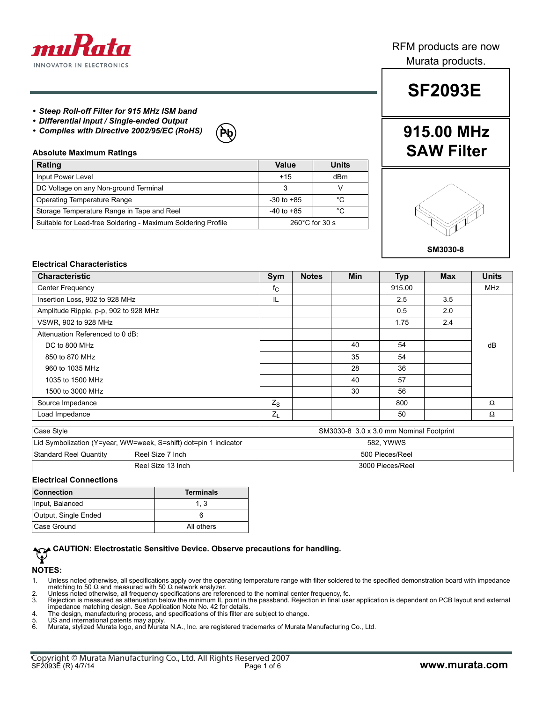

## RFM products are now Murata products.

#### *• Steep Roll-off Filter for 915 MHz ISM band*

- *Differential Input / Single-ended Output*
- *Complies with Directive 2002/95/EC (RoHS)*

#### **Absolute Maximum Ratings**

| Rating                                                       | Value                    | Units |
|--------------------------------------------------------------|--------------------------|-------|
| Input Power Level                                            | $+15$                    | dBm   |
| DC Voltage on any Non-ground Terminal                        |                          |       |
| <b>Operating Temperature Range</b>                           | $-30$ to $+85$           | °C    |
| Storage Temperature Range in Tape and Reel                   | $-40$ to $+85$           | °C    |
| Suitable for Lead-free Soldering - Maximum Soldering Profile | $260^{\circ}$ C for 30 s |       |

# **SF2093E**

# **Pb 915.00 MHz SAW Filter**



#### **Electrical Characteristics**

| <b>Characteristic</b>                 | Sym                                     | <b>Notes</b> | <b>Min</b> | <b>Typ</b> | <b>Max</b> | <b>Units</b> |
|---------------------------------------|-----------------------------------------|--------------|------------|------------|------------|--------------|
| <b>Center Frequency</b>               | $f_{C}$                                 |              |            | 915.00     |            | MHz          |
| Insertion Loss, 902 to 928 MHz        | IL                                      |              |            | 2.5        | 3.5        |              |
| Amplitude Ripple, p-p, 902 to 928 MHz |                                         |              |            | 0.5        | 2.0        |              |
| VSWR, 902 to 928 MHz                  |                                         |              |            | 1.75       | 2.4        |              |
| Attenuation Referenced to 0 dB:       |                                         |              |            |            |            |              |
| DC to 800 MHz                         |                                         |              | 40         | 54         |            | dB           |
| 850 to 870 MHz                        |                                         |              | 35         | 54         |            |              |
| 960 to 1035 MHz                       |                                         |              | 28         | 36         |            |              |
| 1035 to 1500 MHz                      |                                         |              | 40         | 57         |            |              |
| 1500 to 3000 MHz                      |                                         |              | 30         | 56         |            |              |
| Source Impedance                      | $Z_{S}$                                 |              |            | 800        |            | $\Omega$     |
| Load Impedance                        | $Z_L$                                   |              |            | 50         |            | Ω            |
| Case Style                            | SM3030-8 3.0 x 3.0 mm Nominal Footprint |              |            |            |            |              |

| <b>UGSC UIVIC</b>                                                | <b>UNIVERSITY IN A SERVE THILL VIOLINIES</b> |  |
|------------------------------------------------------------------|----------------------------------------------|--|
| Lid Symbolization (Y=year, WW=week, S=shift) dot=pin 1 indicator | 582. YWWS                                    |  |
| Standard Reel Quantity<br>Reel Size 7 Inch                       | 500 Pieces/Reel                              |  |
| Reel Size 13 Inch                                                | 3000 Pieces/Reel                             |  |

#### **Electrical Connections**

| <b>Connection</b>    | <b>Terminals</b> |
|----------------------|------------------|
| Input, Balanced      | 1.3              |
| Output, Single Ended |                  |
| Case Ground          | All others       |

# **CAUTION: Electrostatic Sensitive Device. Observe precautions for handling.**

#### **NOTES:**

- 1. Unless noted otherwise, all specifications apply over the operating temperature range with filter soldered to the specified demonstration board with impedance matching to 50  $\Omega$  and measured with 50  $\Omega$  network analyzer.
- 2. Unless noted otherwise, all frequency specifications are referenced to the nominal center frequency, fc.<br>3. Rejection is measured as attenuation below the minimum IL point in the passband. Rejection in final use
- Rejection is measured as attenuation below the minimum IL point in the passband. Rejection in final user application is dependent on PCB layout and external impedance matching design. See Application Note No. 42 for details.
- 4. The design, manufacturing process, and specifications of this filter are subject to change. 5. US and international patents may apply.
- 
- 6. Murata, stylized Murata logo, and Murata N.A., Inc. are registered trademarks of Murata Manufacturing Co., Ltd.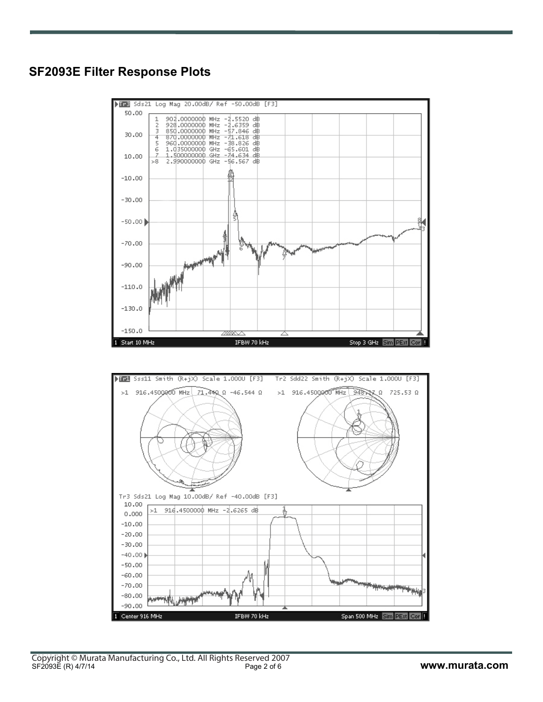Span 500 MHz Sim PExt Cor

Center 916 MHz

П



IFBW 70 kHz



50.00

DIRE Sds21 Log Mag 20.00dB/ Ref -50.00dB [F3]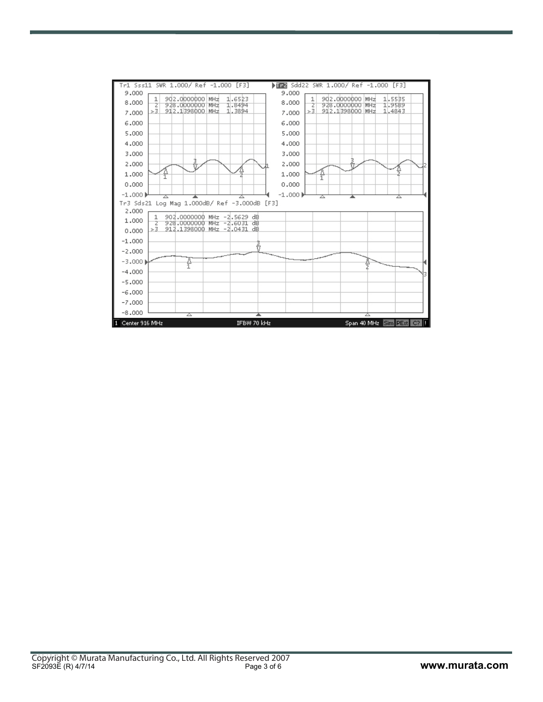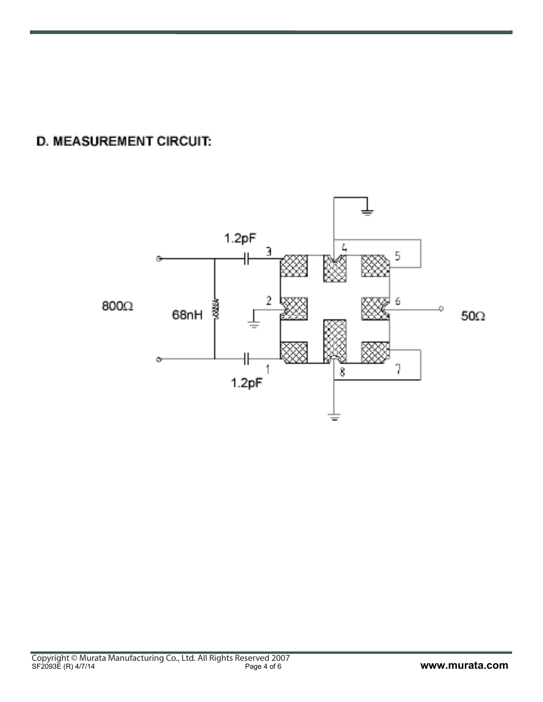**D. MEASUREMENT CIRCUIT:** 

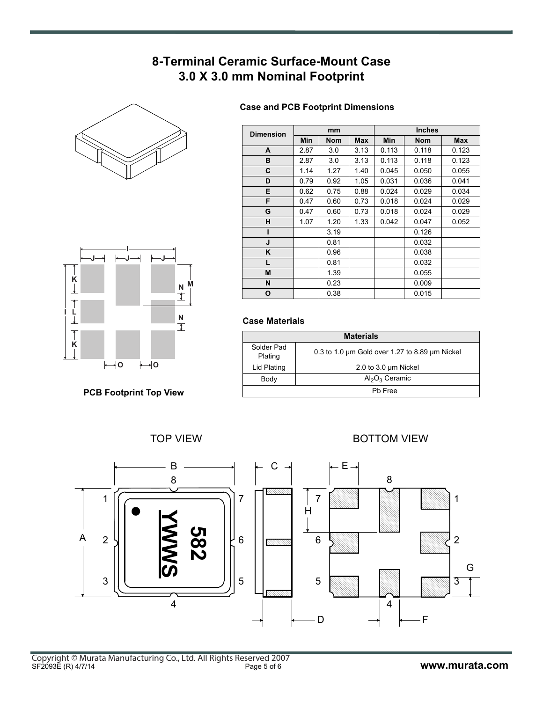# **8-Terminal Ceramic Surface-Mount Case 3.0 X 3.0 mm Nominal Footprint**





**PCB Footprint Top View**

### **Case and PCB Footprint Dimensions**

| <b>Dimension</b> |      | mm         |            |       | <b>Inches</b> |            |
|------------------|------|------------|------------|-------|---------------|------------|
|                  | Min  | <b>Nom</b> | <b>Max</b> | Min   | <b>Nom</b>    | <b>Max</b> |
| A                | 2.87 | 3.0        | 3.13       | 0.113 | 0.118         | 0.123      |
| в                | 2.87 | 3.0        | 3.13       | 0.113 | 0.118         | 0.123      |
| C                | 1.14 | 1.27       | 1.40       | 0.045 | 0.050         | 0.055      |
| D                | 0.79 | 0.92       | 1.05       | 0.031 | 0.036         | 0.041      |
| Е                | 0.62 | 0.75       | 0.88       | 0.024 | 0.029         | 0.034      |
| F                | 0.47 | 0.60       | 0.73       | 0.018 | 0.024         | 0.029      |
| G                | 0.47 | 0.60       | 0.73       | 0.018 | 0.024         | 0.029      |
| н                | 1.07 | 1.20       | 1.33       | 0.042 | 0.047         | 0.052      |
| ı                |      | 3.19       |            |       | 0.126         |            |
| J                |      | 0.81       |            |       | 0.032         |            |
| K                |      | 0.96       |            |       | 0.038         |            |
| L                |      | 0.81       |            |       | 0.032         |            |
| M                |      | 1.39       |            |       | 0.055         |            |
| N                |      | 0.23       |            |       | 0.009         |            |
| O                |      | 0.38       |            |       | 0.015         |            |

#### **Case Materials**

| <b>Materials</b>      |                                                |  |  |  |
|-----------------------|------------------------------------------------|--|--|--|
| Solder Pad<br>Plating | 0.3 to 1.0 um Gold over 1.27 to 8.89 um Nickel |  |  |  |
| Lid Plating           | 2.0 to 3.0 um Nickel                           |  |  |  |
| Body                  | $Al_2O_3$ Ceramic                              |  |  |  |
| Ph Free               |                                                |  |  |  |

TOP VIEW **BOTTOM VIEW** 

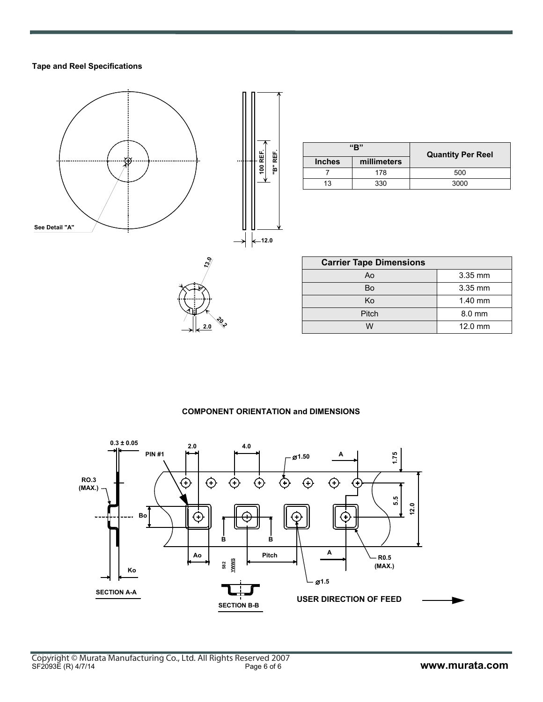#### **Tape and Reel Specifications**



|  | 100 REF. | "B" REF. |  |
|--|----------|----------|--|
|  | $12.0$   |          |  |

| "R"           |             | <b>Quantity Per Reel</b> |  |
|---------------|-------------|--------------------------|--|
| <b>Inches</b> | millimeters |                          |  |
|               | 178         | 500                      |  |
| 13            | 330         | 3000                     |  |

| ુ<br>∖ભ |   |
|---------|---|
|         |   |
| 2.0     | o |

| <b>Carrier Tape Dimensions</b> |           |  |  |
|--------------------------------|-----------|--|--|
| Ao                             | $3.35$ mm |  |  |
| Bo                             | 3.35 mm   |  |  |
| Ko                             | $1.40$ mm |  |  |
| Pitch                          | $8.0$ mm  |  |  |
|                                | $12.0$ mm |  |  |

#### **COMPONENT ORIENTATION and DIMENSIONS**